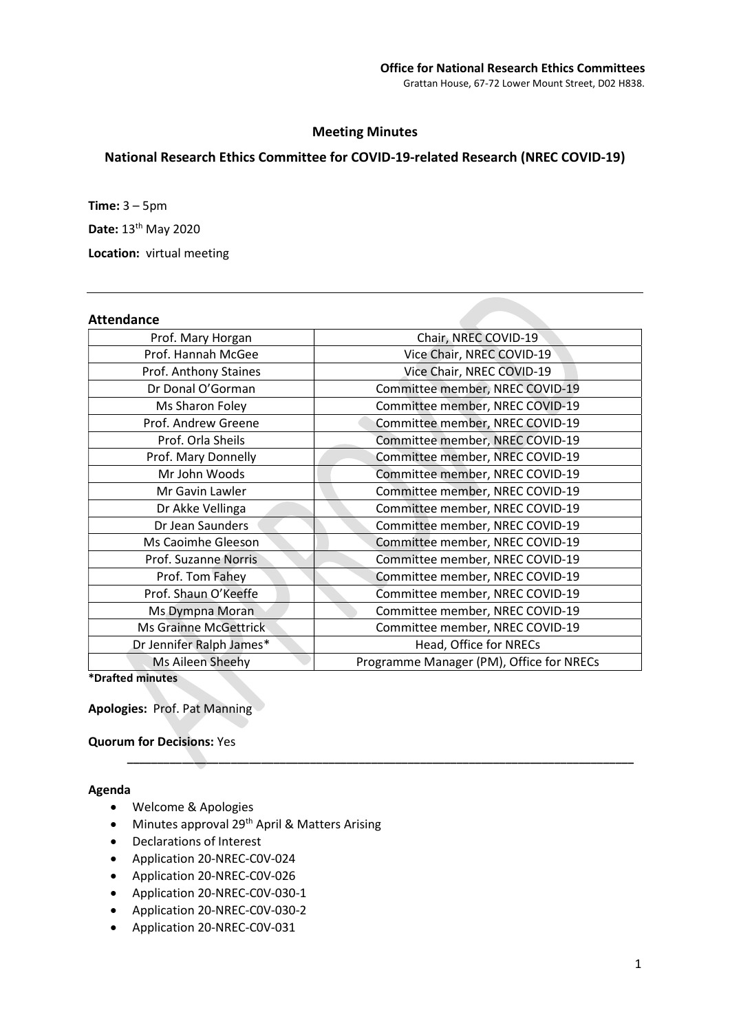## Meeting Minutes

# National Research Ethics Committee for COVID-19-related Research (NREC COVID-19)

Time:  $3 - 5$ pm Date: 13<sup>th</sup> May 2020 Location: virtual meeting

# Attendance

| Allenuanle               |                                          |
|--------------------------|------------------------------------------|
| Prof. Mary Horgan        | Chair, NREC COVID-19                     |
| Prof. Hannah McGee       | Vice Chair, NREC COVID-19                |
| Prof. Anthony Staines    | Vice Chair, NREC COVID-19                |
| Dr Donal O'Gorman        | Committee member, NREC COVID-19          |
| Ms Sharon Foley          | Committee member, NREC COVID-19          |
| Prof. Andrew Greene      | Committee member, NREC COVID-19          |
| Prof. Orla Sheils        | Committee member, NREC COVID-19          |
| Prof. Mary Donnelly      | Committee member, NREC COVID-19          |
| Mr John Woods            | Committee member, NREC COVID-19          |
| Mr Gavin Lawler          | Committee member, NREC COVID-19          |
| Dr Akke Vellinga         | Committee member, NREC COVID-19          |
| Dr Jean Saunders         | Committee member, NREC COVID-19          |
| Ms Caoimhe Gleeson       | Committee member, NREC COVID-19          |
| Prof. Suzanne Norris     | Committee member, NREC COVID-19          |
| Prof. Tom Fahey          | Committee member, NREC COVID-19          |
| Prof. Shaun O'Keeffe     | Committee member, NREC COVID-19          |
| Ms Dympna Moran          | Committee member, NREC COVID-19          |
| Ms Grainne McGettrick    | Committee member, NREC COVID-19          |
| Dr Jennifer Ralph James* | Head, Office for NRECs                   |
| Ms Aileen Sheehy         | Programme Manager (PM), Office for NRECs |
| *Drafted minutes         |                                          |

\_\_\_\_\_\_\_\_\_\_\_\_\_\_\_\_\_\_\_\_\_\_\_\_\_\_\_\_\_\_\_\_\_\_\_\_\_\_\_\_\_\_\_\_\_\_\_\_\_\_\_\_\_\_\_\_\_\_\_\_\_\_\_\_\_\_\_\_\_\_\_\_\_\_\_\_\_\_\_\_\_\_\_

Apologies: Prof. Pat Manning

Quorum for Decisions: Yes

### Agenda

- Welcome & Apologies
- Minutes approval 29<sup>th</sup> April & Matters Arising
- Declarations of Interest
- Application 20-NREC-C0V-024
- Application 20-NREC-C0V-026
- Application 20-NREC-C0V-030-1
- Application 20-NREC-C0V-030-2
- Application 20-NREC-C0V-031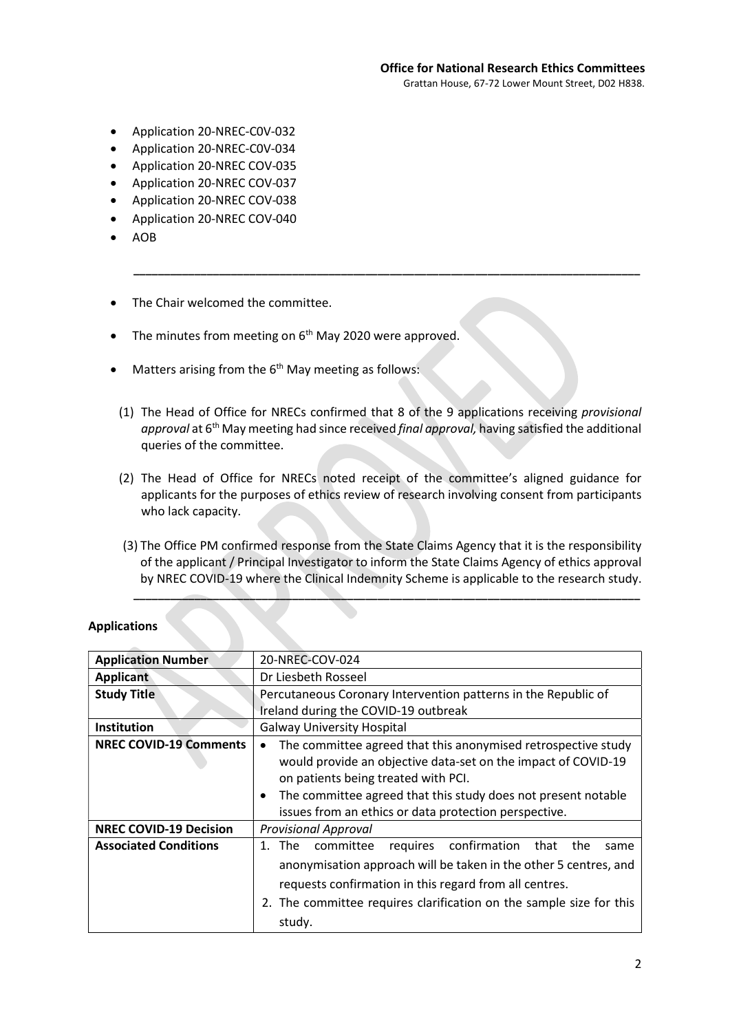- Application 20-NREC-C0V-032
- Application 20-NREC-C0V-034
- Application 20-NREC COV-035
- Application 20-NREC COV-037
- Application 20-NREC COV-038
- Application 20-NREC COV-040
- AOB
- The Chair welcomed the committee.
- $\bullet$  The minutes from meeting on  $6<sup>th</sup>$  May 2020 were approved.
- Matters arising from the  $6<sup>th</sup>$  May meeting as follows:
- (1) The Head of Office for NRECs confirmed that 8 of the 9 applications receiving provisional approval at 6<sup>th</sup> May meeting had since received final approval, having satisfied the additional queries of the committee.

\_\_\_\_\_\_\_\_\_\_\_\_\_\_\_\_\_\_\_\_\_\_\_\_\_\_\_\_\_\_\_\_\_\_\_\_\_\_\_\_\_\_\_\_\_\_\_\_\_\_\_\_\_\_\_\_\_\_\_\_\_\_\_\_\_\_\_\_\_\_\_\_\_\_\_\_\_\_\_\_\_\_\_

- (2) The Head of Office for NRECs noted receipt of the committee's aligned guidance for applicants for the purposes of ethics review of research involving consent from participants who lack capacity.
- (3) The Office PM confirmed response from the State Claims Agency that it is the responsibility of the applicant / Principal Investigator to inform the State Claims Agency of ethics approval by NREC COVID-19 where the Clinical Indemnity Scheme is applicable to the research study.

\_\_\_\_\_\_\_\_\_\_\_\_\_\_\_\_\_\_\_\_\_\_\_\_\_\_\_\_\_\_\_\_\_\_\_\_\_\_\_\_\_\_\_\_\_\_\_\_\_\_\_\_\_\_\_\_\_\_\_\_\_\_\_\_\_\_\_\_\_\_\_\_\_\_\_\_\_\_\_\_\_\_\_

| <b>Application Number</b>     | 20-NREC-COV-024                                                                                                                                                                                                                                                                                                           |
|-------------------------------|---------------------------------------------------------------------------------------------------------------------------------------------------------------------------------------------------------------------------------------------------------------------------------------------------------------------------|
| Applicant                     | Dr Liesbeth Rosseel                                                                                                                                                                                                                                                                                                       |
| <b>Study Title</b>            | Percutaneous Coronary Intervention patterns in the Republic of<br>Ireland during the COVID-19 outbreak                                                                                                                                                                                                                    |
| <b>Institution</b>            | <b>Galway University Hospital</b>                                                                                                                                                                                                                                                                                         |
| <b>NREC COVID-19 Comments</b> | The committee agreed that this anonymised retrospective study<br>$\bullet$<br>would provide an objective data-set on the impact of COVID-19<br>on patients being treated with PCI.<br>The committee agreed that this study does not present notable<br>$\bullet$<br>issues from an ethics or data protection perspective. |
| <b>NREC COVID-19 Decision</b> | <b>Provisional Approval</b>                                                                                                                                                                                                                                                                                               |
| <b>Associated Conditions</b>  | requires confirmation<br>1. The<br>committee<br>that<br>the<br>same<br>anonymisation approach will be taken in the other 5 centres, and<br>requests confirmation in this regard from all centres.<br>2. The committee requires clarification on the sample size for this<br>study.                                        |

#### Applications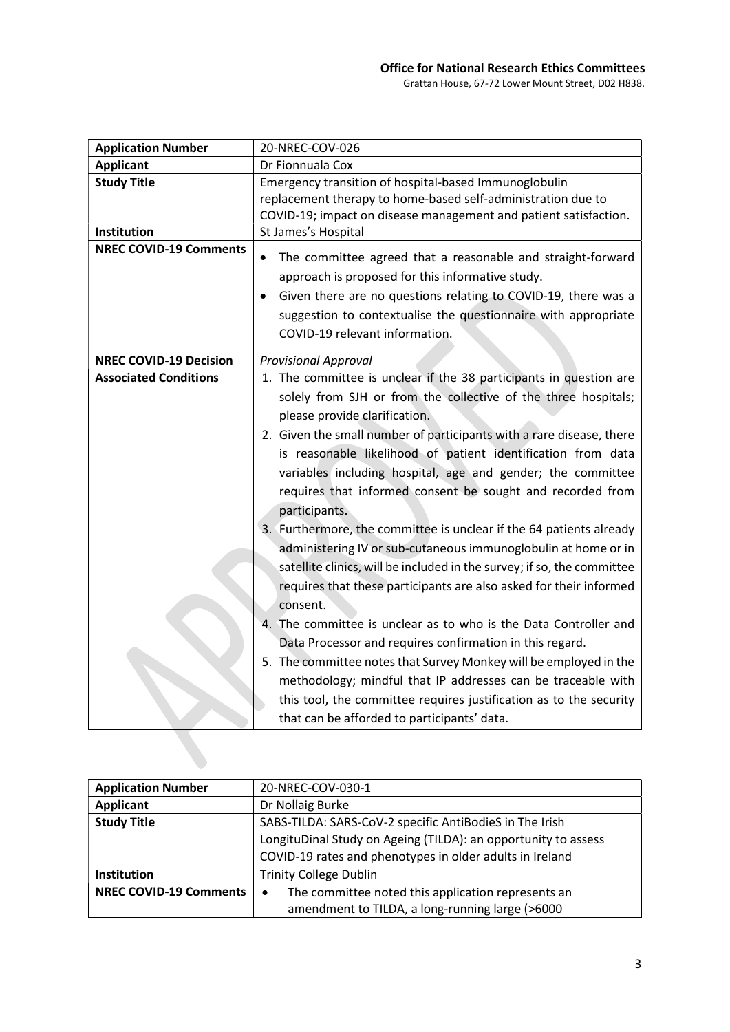| 20-NREC-COV-026                                                                                                                                                                                                                                                                    |
|------------------------------------------------------------------------------------------------------------------------------------------------------------------------------------------------------------------------------------------------------------------------------------|
| Dr Fionnuala Cox                                                                                                                                                                                                                                                                   |
| Emergency transition of hospital-based Immunoglobulin                                                                                                                                                                                                                              |
| replacement therapy to home-based self-administration due to                                                                                                                                                                                                                       |
| COVID-19; impact on disease management and patient satisfaction.                                                                                                                                                                                                                   |
| St James's Hospital                                                                                                                                                                                                                                                                |
| The committee agreed that a reasonable and straight-forward<br>$\bullet$                                                                                                                                                                                                           |
| approach is proposed for this informative study.                                                                                                                                                                                                                                   |
| Given there are no questions relating to COVID-19, there was a                                                                                                                                                                                                                     |
| suggestion to contextualise the questionnaire with appropriate                                                                                                                                                                                                                     |
| COVID-19 relevant information.                                                                                                                                                                                                                                                     |
| <b>Provisional Approval</b>                                                                                                                                                                                                                                                        |
| 1. The committee is unclear if the 38 participants in question are                                                                                                                                                                                                                 |
| solely from SJH or from the collective of the three hospitals;                                                                                                                                                                                                                     |
| please provide clarification.                                                                                                                                                                                                                                                      |
| 2. Given the small number of participants with a rare disease, there<br>is reasonable likelihood of patient identification from data<br>variables including hospital, age and gender; the committee<br>requires that informed consent be sought and recorded from<br>participants. |
| 3. Furthermore, the committee is unclear if the 64 patients already                                                                                                                                                                                                                |
| administering IV or sub-cutaneous immunoglobulin at home or in                                                                                                                                                                                                                     |
| satellite clinics, will be included in the survey; if so, the committee                                                                                                                                                                                                            |
| requires that these participants are also asked for their informed                                                                                                                                                                                                                 |
| consent.                                                                                                                                                                                                                                                                           |
| 4. The committee is unclear as to who is the Data Controller and                                                                                                                                                                                                                   |
| Data Processor and requires confirmation in this regard.                                                                                                                                                                                                                           |
| 5. The committee notes that Survey Monkey will be employed in the                                                                                                                                                                                                                  |
| methodology; mindful that IP addresses can be traceable with                                                                                                                                                                                                                       |
| this tool, the committee requires justification as to the security                                                                                                                                                                                                                 |
| that can be afforded to participants' data.                                                                                                                                                                                                                                        |
|                                                                                                                                                                                                                                                                                    |

| <b>Application Number</b>     | 20-NREC-COV-030-1                                               |
|-------------------------------|-----------------------------------------------------------------|
| <b>Applicant</b>              | Dr Nollaig Burke                                                |
| <b>Study Title</b>            | SABS-TILDA: SARS-CoV-2 specific AntiBodieS in The Irish         |
|                               | LongituDinal Study on Ageing (TILDA): an opportunity to assess  |
|                               | COVID-19 rates and phenotypes in older adults in Ireland        |
| <b>Institution</b>            | <b>Trinity College Dublin</b>                                   |
| <b>NREC COVID-19 Comments</b> | The committee noted this application represents an<br>$\bullet$ |
|                               | amendment to TILDA, a long-running large (>6000                 |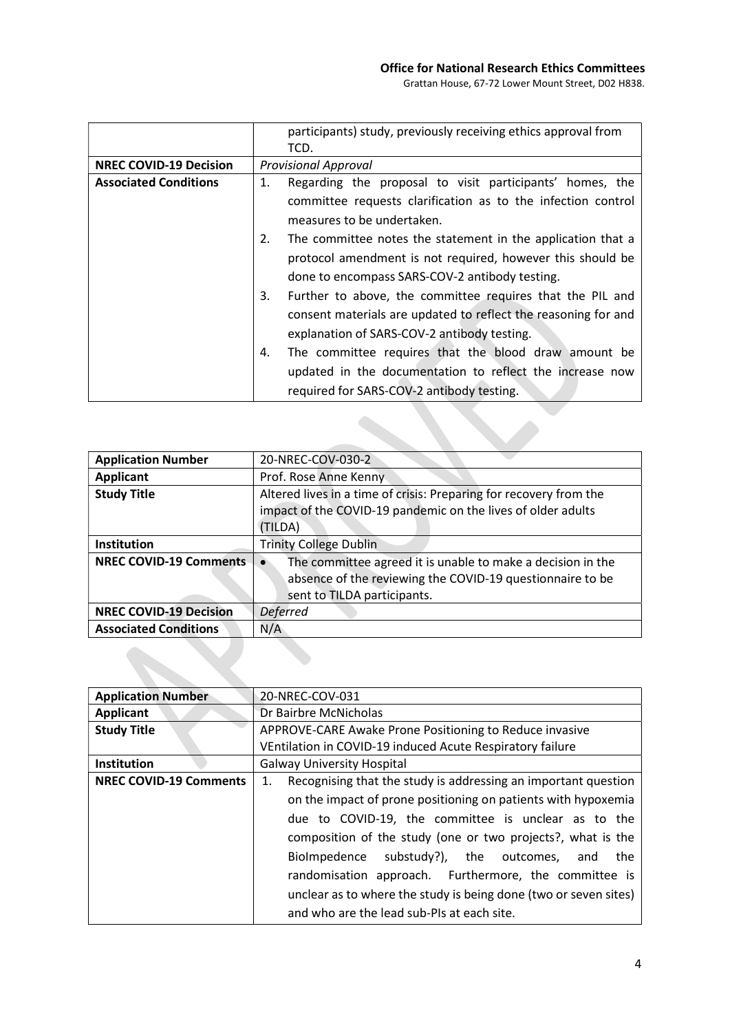Grattan House, 67-72 Lower Mount Street, D02 H838.

|                               | participants) study, previously receiving ethics approval from    |
|-------------------------------|-------------------------------------------------------------------|
|                               | TCD.                                                              |
| <b>NREC COVID-19 Decision</b> | <b>Provisional Approval</b>                                       |
| <b>Associated Conditions</b>  | Regarding the proposal to visit participants' homes, the<br>1.    |
|                               | committee requests clarification as to the infection control      |
|                               | measures to be undertaken.                                        |
|                               | The committee notes the statement in the application that a<br>2. |
|                               | protocol amendment is not required, however this should be        |
|                               | done to encompass SARS-COV-2 antibody testing.                    |
|                               | Further to above, the committee requires that the PIL and<br>3.   |
|                               | consent materials are updated to reflect the reasoning for and    |
|                               | explanation of SARS-COV-2 antibody testing.                       |
|                               | The committee requires that the blood draw amount be<br>4.        |
|                               | updated in the documentation to reflect the increase now          |
|                               | required for SARS-COV-2 antibody testing.                         |

| <b>Application Number</b>     | 20-NREC-COV-030-2                                                  |
|-------------------------------|--------------------------------------------------------------------|
| <b>Applicant</b>              | Prof. Rose Anne Kenny                                              |
| <b>Study Title</b>            | Altered lives in a time of crisis: Preparing for recovery from the |
|                               | impact of the COVID-19 pandemic on the lives of older adults       |
|                               | (TILDA)                                                            |
| <b>Institution</b>            | <b>Trinity College Dublin</b>                                      |
| <b>NREC COVID-19 Comments</b> | The committee agreed it is unable to make a decision in the        |
|                               | absence of the reviewing the COVID-19 questionnaire to be          |
|                               | sent to TILDA participants.                                        |
| <b>NREC COVID-19 Decision</b> | <b>Deferred</b>                                                    |
| <b>Associated Conditions</b>  | N/A                                                                |
|                               |                                                                    |

| <b>Application Number</b>     | 20-NREC-COV-031                                                      |
|-------------------------------|----------------------------------------------------------------------|
| <b>Applicant</b>              | Dr Bairbre McNicholas                                                |
| <b>Study Title</b>            | APPROVE-CARE Awake Prone Positioning to Reduce invasive              |
|                               | VEntilation in COVID-19 induced Acute Respiratory failure            |
| Institution                   | <b>Galway University Hospital</b>                                    |
| <b>NREC COVID-19 Comments</b> | Recognising that the study is addressing an important question<br>1. |
|                               | on the impact of prone positioning on patients with hypoxemia        |
|                               | due to COVID-19, the committee is unclear as to the                  |
|                               | composition of the study (one or two projects?, what is the          |
|                               | BioImpedence substudy?), the outcomes,<br>the<br>and                 |
|                               | randomisation approach. Furthermore, the committee is                |
|                               | unclear as to where the study is being done (two or seven sites)     |
|                               |                                                                      |
|                               | and who are the lead sub-PIs at each site.                           |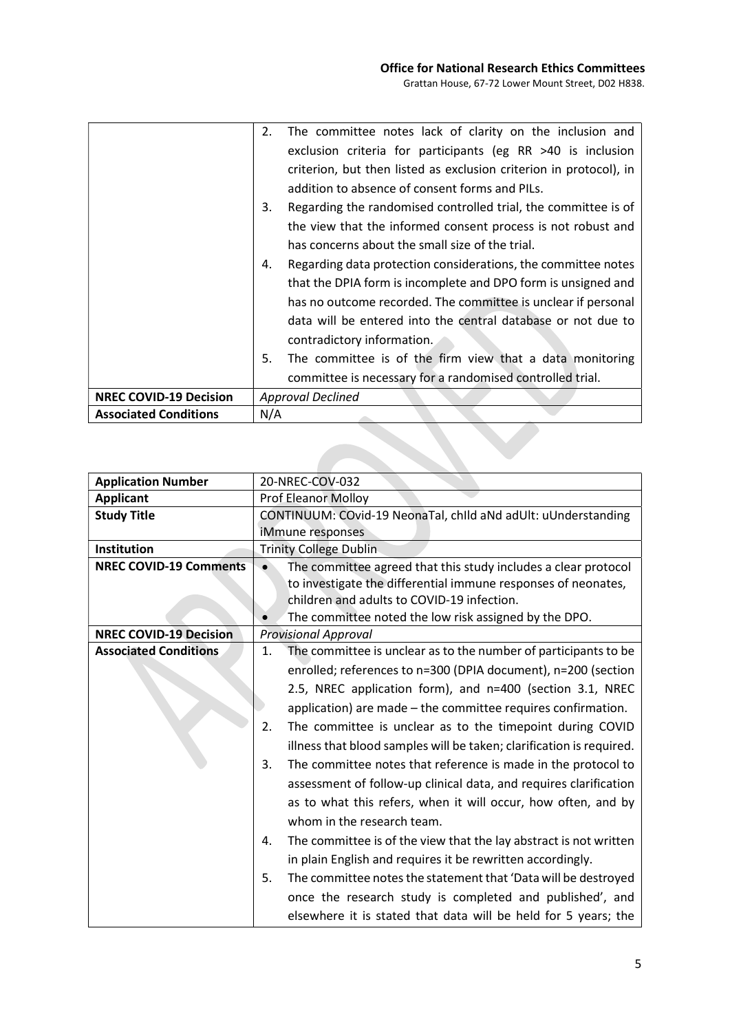V

|                               | The committee notes lack of clarity on the inclusion and<br>2.       |
|-------------------------------|----------------------------------------------------------------------|
|                               | exclusion criteria for participants (eg RR $>40$ is inclusion        |
|                               | criterion, but then listed as exclusion criterion in protocol), in   |
|                               | addition to absence of consent forms and PILs.                       |
|                               | Regarding the randomised controlled trial, the committee is of<br>3. |
|                               | the view that the informed consent process is not robust and         |
|                               | has concerns about the small size of the trial.                      |
|                               | Regarding data protection considerations, the committee notes<br>4.  |
|                               | that the DPIA form is incomplete and DPO form is unsigned and        |
|                               | has no outcome recorded. The committee is unclear if personal        |
|                               | data will be entered into the central database or not due to         |
|                               | contradictory information.                                           |
|                               | 5.<br>The committee is of the firm view that a data monitoring       |
|                               | committee is necessary for a randomised controlled trial.            |
| <b>NREC COVID-19 Decision</b> | <b>Approval Declined</b>                                             |
| <b>Associated Conditions</b>  | N/A                                                                  |

| <b>Application Number</b>     | 20-NREC-COV-032                                                         |
|-------------------------------|-------------------------------------------------------------------------|
| <b>Applicant</b>              | <b>Prof Eleanor Molloy</b>                                              |
| <b>Study Title</b>            | CONTINUUM: COvid-19 NeonaTal, child aNd adUlt: uUnderstanding           |
|                               | iMmune responses                                                        |
| Institution                   | <b>Trinity College Dublin</b>                                           |
| <b>NREC COVID-19 Comments</b> | The committee agreed that this study includes a clear protocol          |
|                               | to investigate the differential immune responses of neonates,           |
|                               | children and adults to COVID-19 infection.                              |
|                               | The committee noted the low risk assigned by the DPO.                   |
| <b>NREC COVID-19 Decision</b> | <b>Provisional Approval</b>                                             |
| <b>Associated Conditions</b>  | The committee is unclear as to the number of participants to be<br>1.   |
|                               | enrolled; references to n=300 (DPIA document), n=200 (section           |
|                               | 2.5, NREC application form), and n=400 (section 3.1, NREC               |
|                               | application) are made - the committee requires confirmation.            |
|                               | The committee is unclear as to the timepoint during COVID<br>2.         |
|                               | illness that blood samples will be taken; clarification is required.    |
|                               | The committee notes that reference is made in the protocol to<br>3.     |
|                               | assessment of follow-up clinical data, and requires clarification       |
|                               |                                                                         |
|                               | as to what this refers, when it will occur, how often, and by           |
|                               | whom in the research team.                                              |
|                               | The committee is of the view that the lay abstract is not written<br>4. |
|                               | in plain English and requires it be rewritten accordingly.              |
|                               | The committee notes the statement that 'Data will be destroyed<br>5.    |
|                               | once the research study is completed and published', and                |
|                               | elsewhere it is stated that data will be held for 5 years; the          |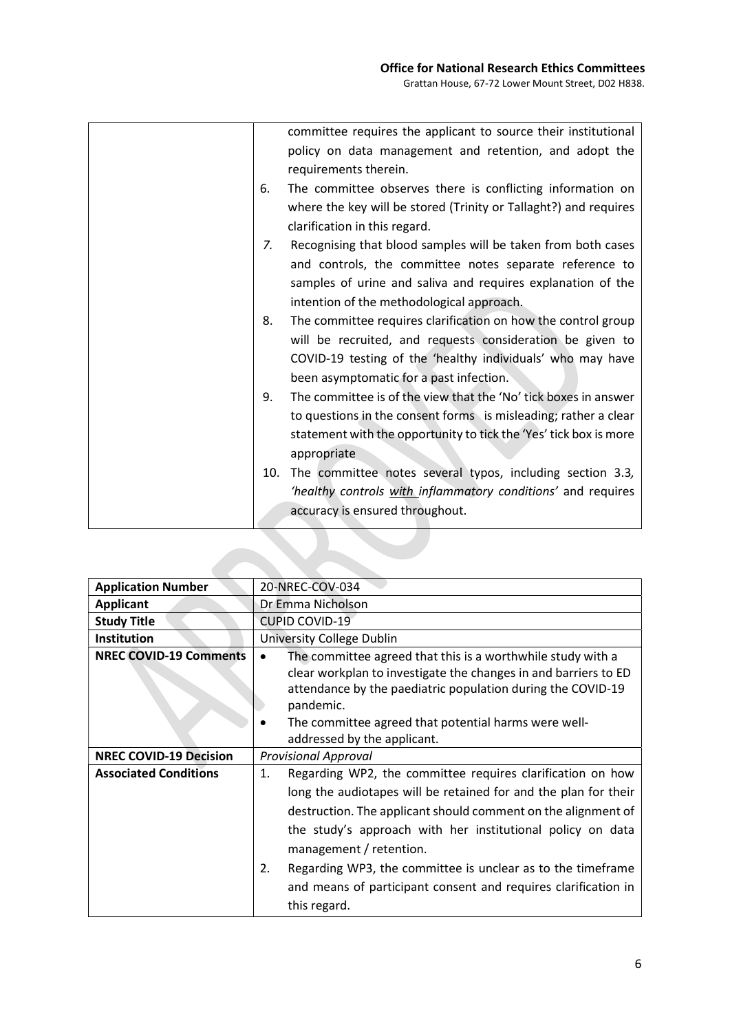|    | committee requires the applicant to source their institutional    |
|----|-------------------------------------------------------------------|
|    | policy on data management and retention, and adopt the            |
|    | requirements therein.                                             |
| 6. | The committee observes there is conflicting information on        |
|    | where the key will be stored (Trinity or Tallaght?) and requires  |
|    | clarification in this regard.                                     |
| 7. | Recognising that blood samples will be taken from both cases      |
|    | and controls, the committee notes separate reference to           |
|    | samples of urine and saliva and requires explanation of the       |
|    | intention of the methodological approach.                         |
| 8. | The committee requires clarification on how the control group     |
|    | will be recruited, and requests consideration be given to         |
|    | COVID-19 testing of the 'healthy individuals' who may have        |
|    | been asymptomatic for a past infection.                           |
| 9. | The committee is of the view that the 'No' tick boxes in answer   |
|    | to questions in the consent forms is misleading; rather a clear   |
|    | statement with the opportunity to tick the 'Yes' tick box is more |
|    | appropriate                                                       |
|    | The committee notes several typos, including section 3.3,<br>10.  |
|    | 'healthy controls with inflammatory conditions' and requires      |
|    | accuracy is ensured throughout.                                   |

| <b>Application Number</b>     | 20-NREC-COV-034                                                                                                                                                                                                                                                                                                                                                                                                                                      |
|-------------------------------|------------------------------------------------------------------------------------------------------------------------------------------------------------------------------------------------------------------------------------------------------------------------------------------------------------------------------------------------------------------------------------------------------------------------------------------------------|
| <b>Applicant</b>              | Dr Emma Nicholson                                                                                                                                                                                                                                                                                                                                                                                                                                    |
| <b>Study Title</b>            | <b>CUPID COVID-19</b>                                                                                                                                                                                                                                                                                                                                                                                                                                |
| <b>Institution</b>            | University College Dublin                                                                                                                                                                                                                                                                                                                                                                                                                            |
| <b>NREC COVID-19 Comments</b> | The committee agreed that this is a worthwhile study with a<br>clear workplan to investigate the changes in and barriers to ED<br>attendance by the paediatric population during the COVID-19<br>pandemic.<br>The committee agreed that potential harms were well-<br>addressed by the applicant.                                                                                                                                                    |
| <b>NREC COVID-19 Decision</b> | <b>Provisional Approval</b>                                                                                                                                                                                                                                                                                                                                                                                                                          |
| <b>Associated Conditions</b>  | Regarding WP2, the committee requires clarification on how<br>1.<br>long the audiotapes will be retained for and the plan for their<br>destruction. The applicant should comment on the alignment of<br>the study's approach with her institutional policy on data<br>management / retention.<br>Regarding WP3, the committee is unclear as to the timeframe<br>2.<br>and means of participant consent and requires clarification in<br>this regard. |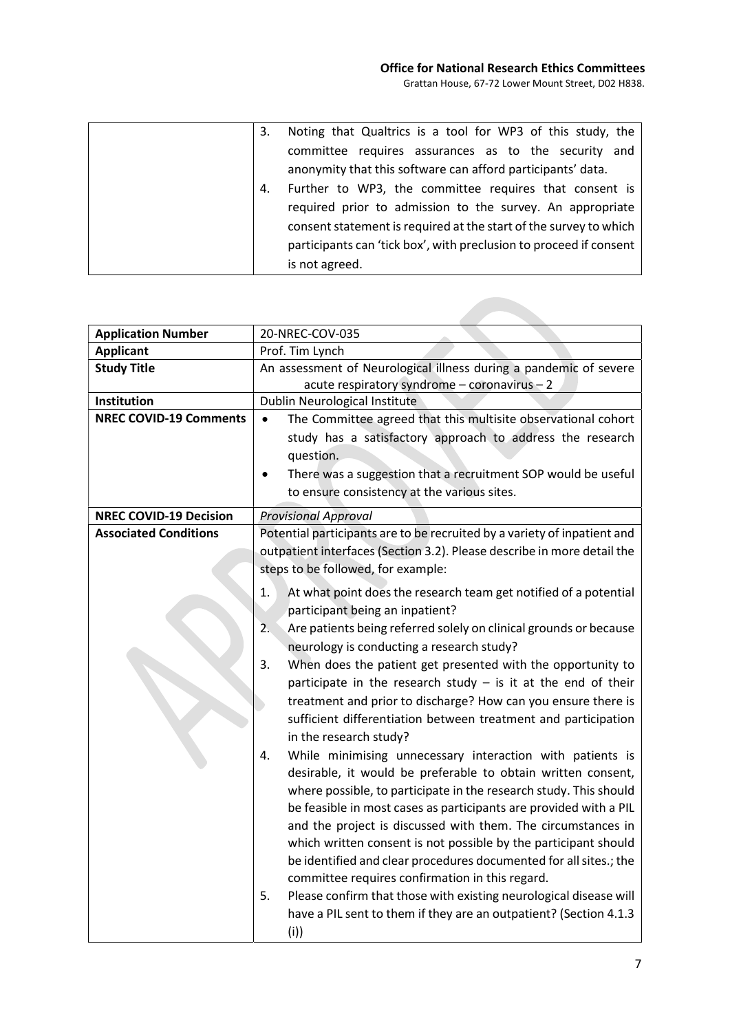| 3. | Noting that Qualtrics is a tool for WP3 of this study, the         |
|----|--------------------------------------------------------------------|
|    | committee requires assurances as to the security and               |
|    | anonymity that this software can afford participants' data.        |
| 4. | Further to WP3, the committee requires that consent is             |
|    | required prior to admission to the survey. An appropriate          |
|    | consent statement is required at the start of the survey to which  |
|    | participants can 'tick box', with preclusion to proceed if consent |
|    | is not agreed.                                                     |

| <b>Application Number</b>     | 20-NREC-COV-035                                                            |
|-------------------------------|----------------------------------------------------------------------------|
| <b>Applicant</b>              | Prof. Tim Lynch                                                            |
| <b>Study Title</b>            | An assessment of Neurological illness during a pandemic of severe          |
|                               | acute respiratory syndrome - coronavirus - 2                               |
| Institution                   | Dublin Neurological Institute                                              |
| <b>NREC COVID-19 Comments</b> | The Committee agreed that this multisite observational cohort<br>$\bullet$ |
|                               | study has a satisfactory approach to address the research                  |
|                               | question.                                                                  |
|                               | There was a suggestion that a recruitment SOP would be useful<br>$\bullet$ |
|                               | to ensure consistency at the various sites.                                |
| <b>NREC COVID-19 Decision</b> | <b>Provisional Approval</b>                                                |
| <b>Associated Conditions</b>  | Potential participants are to be recruited by a variety of inpatient and   |
|                               | outpatient interfaces (Section 3.2). Please describe in more detail the    |
|                               | steps to be followed, for example:                                         |
|                               | 1.<br>At what point does the research team get notified of a potential     |
|                               | participant being an inpatient?                                            |
|                               | Are patients being referred solely on clinical grounds or because<br>2.    |
|                               | neurology is conducting a research study?                                  |
|                               | 3.<br>When does the patient get presented with the opportunity to          |
|                               | participate in the research study $-$ is it at the end of their            |
|                               | treatment and prior to discharge? How can you ensure there is              |
|                               | sufficient differentiation between treatment and participation             |
|                               | in the research study?                                                     |
|                               | While minimising unnecessary interaction with patients is<br>4.            |
|                               | desirable, it would be preferable to obtain written consent,               |
|                               | where possible, to participate in the research study. This should          |
|                               | be feasible in most cases as participants are provided with a PIL          |
|                               | and the project is discussed with them. The circumstances in               |
|                               | which written consent is not possible by the participant should            |
|                               | be identified and clear procedures documented for all sites.; the          |
|                               | committee requires confirmation in this regard.                            |
|                               | 5.<br>Please confirm that those with existing neurological disease will    |
|                               | have a PIL sent to them if they are an outpatient? (Section 4.1.3          |
|                               | (i))                                                                       |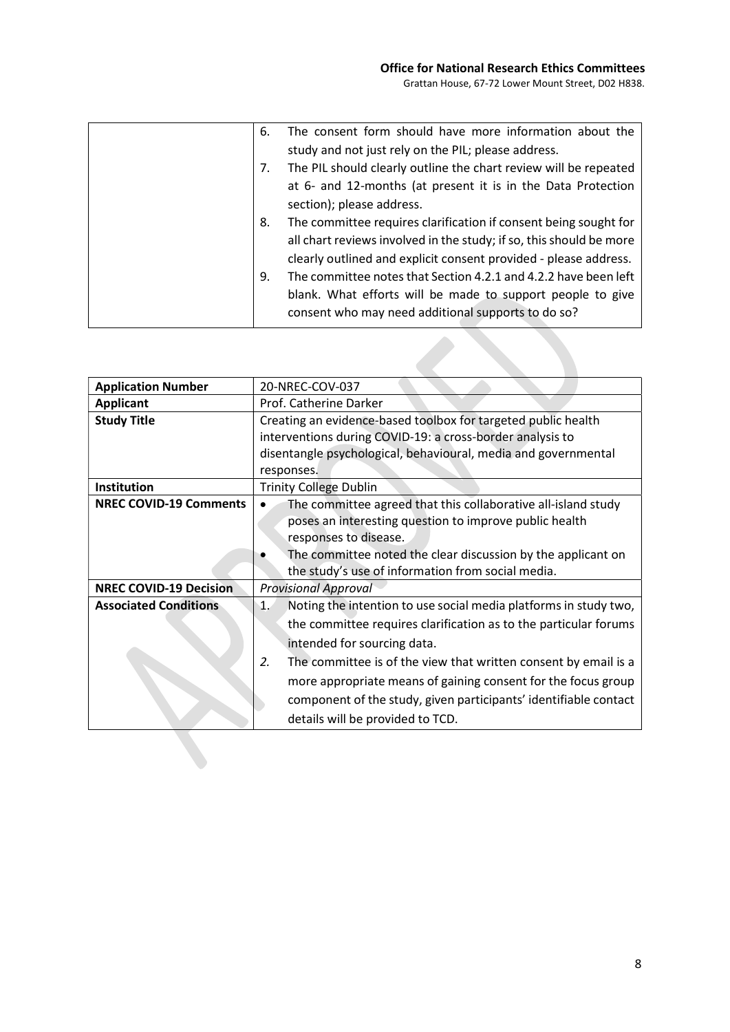| 6. | The consent form should have more information about the             |
|----|---------------------------------------------------------------------|
|    | study and not just rely on the PIL; please address.                 |
| 7. | The PIL should clearly outline the chart review will be repeated    |
|    | at 6- and 12-months (at present it is in the Data Protection        |
|    | section); please address.                                           |
| 8. | The committee requires clarification if consent being sought for    |
|    | all chart reviews involved in the study; if so, this should be more |
|    | clearly outlined and explicit consent provided - please address.    |
| 9. | The committee notes that Section 4.2.1 and 4.2.2 have been left     |
|    | blank. What efforts will be made to support people to give          |
|    | consent who may need additional supports to do so?                  |

| <b>Application Number</b>     | 20-NREC-COV-037                                                                                                                                                                                                                                                                                                                                                                                                             |
|-------------------------------|-----------------------------------------------------------------------------------------------------------------------------------------------------------------------------------------------------------------------------------------------------------------------------------------------------------------------------------------------------------------------------------------------------------------------------|
| <b>Applicant</b>              | Prof. Catherine Darker                                                                                                                                                                                                                                                                                                                                                                                                      |
| <b>Study Title</b>            | Creating an evidence-based toolbox for targeted public health<br>interventions during COVID-19: a cross-border analysis to                                                                                                                                                                                                                                                                                                  |
|                               | disentangle psychological, behavioural, media and governmental<br>responses.                                                                                                                                                                                                                                                                                                                                                |
| Institution                   | <b>Trinity College Dublin</b>                                                                                                                                                                                                                                                                                                                                                                                               |
| <b>NREC COVID-19 Comments</b> | The committee agreed that this collaborative all-island study<br>poses an interesting question to improve public health<br>responses to disease.<br>The committee noted the clear discussion by the applicant on<br>the study's use of information from social media.                                                                                                                                                       |
| <b>NREC COVID-19 Decision</b> | <b>Provisional Approval</b>                                                                                                                                                                                                                                                                                                                                                                                                 |
| <b>Associated Conditions</b>  | Noting the intention to use social media platforms in study two,<br>1.<br>the committee requires clarification as to the particular forums<br>intended for sourcing data.<br>2.<br>The committee is of the view that written consent by email is a<br>more appropriate means of gaining consent for the focus group<br>component of the study, given participants' identifiable contact<br>details will be provided to TCD. |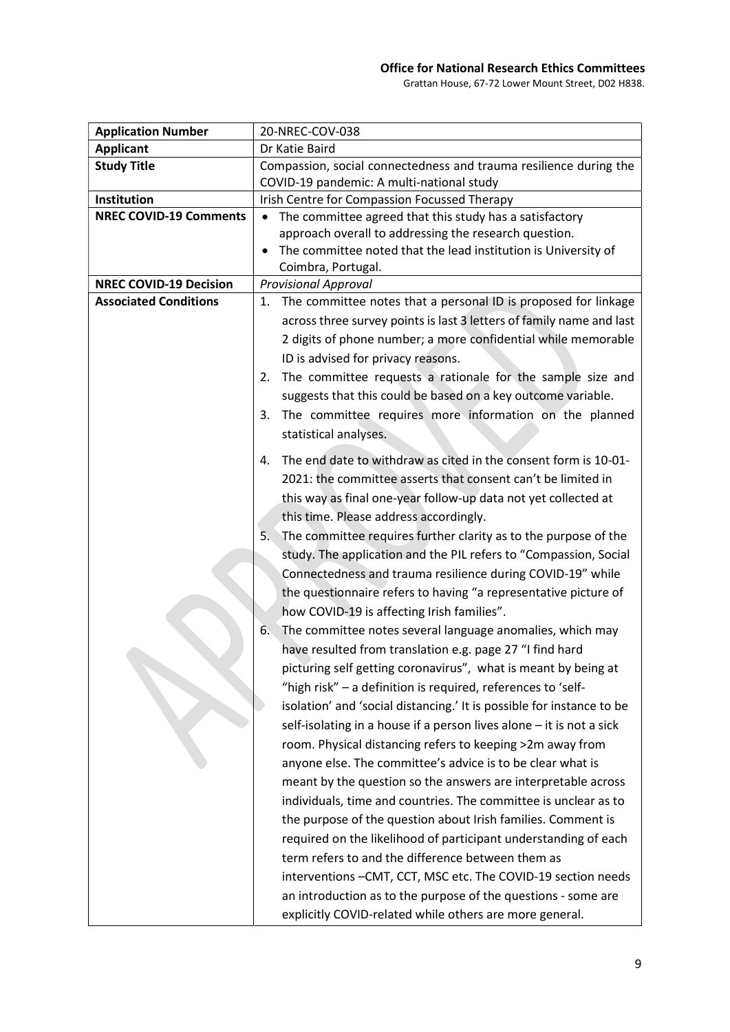## Office for National Research Ethics Committees

Grattan House, 67-72 Lower Mount Street, D02 H838.

| <b>Application Number</b>     | 20-NREC-COV-038                                                       |
|-------------------------------|-----------------------------------------------------------------------|
| <b>Applicant</b>              | Dr Katie Baird                                                        |
| <b>Study Title</b>            | Compassion, social connectedness and trauma resilience during the     |
|                               | COVID-19 pandemic: A multi-national study                             |
| Institution                   | Irish Centre for Compassion Focussed Therapy                          |
| <b>NREC COVID-19 Comments</b> | The committee agreed that this study has a satisfactory<br>$\bullet$  |
|                               | approach overall to addressing the research question.                 |
|                               | The committee noted that the lead institution is University of        |
|                               | Coimbra, Portugal.                                                    |
| <b>NREC COVID-19 Decision</b> | <b>Provisional Approval</b>                                           |
| <b>Associated Conditions</b>  | The committee notes that a personal ID is proposed for linkage<br>1.  |
|                               | across three survey points is last 3 letters of family name and last  |
|                               | 2 digits of phone number; a more confidential while memorable         |
|                               | ID is advised for privacy reasons.                                    |
|                               | The committee requests a rationale for the sample size and<br>2.      |
|                               | suggests that this could be based on a key outcome variable.          |
|                               | The committee requires more information on the planned<br>3.          |
|                               | statistical analyses.                                                 |
|                               |                                                                       |
|                               | The end date to withdraw as cited in the consent form is 10-01-<br>4. |
|                               | 2021: the committee asserts that consent can't be limited in          |
|                               | this way as final one-year follow-up data not yet collected at        |
|                               | this time. Please address accordingly.                                |
|                               | The committee requires further clarity as to the purpose of the<br>5. |
|                               | study. The application and the PIL refers to "Compassion, Social      |
|                               | Connectedness and trauma resilience during COVID-19" while            |
|                               |                                                                       |
|                               | the questionnaire refers to having "a representative picture of       |
|                               | how COVID-19 is affecting Irish families".                            |
|                               | The committee notes several language anomalies, which may<br>6.       |
|                               | have resulted from translation e.g. page 27 "I find hard              |
|                               | picturing self getting coronavirus", what is meant by being at        |
|                               | "high risk" - a definition is required, references to 'self-          |
|                               | isolation' and 'social distancing.' It is possible for instance to be |
|                               | self-isolating in a house if a person lives alone - it is not a sick  |
|                               | room. Physical distancing refers to keeping >2m away from             |
|                               | anyone else. The committee's advice is to be clear what is            |
|                               | meant by the question so the answers are interpretable across         |
|                               | individuals, time and countries. The committee is unclear as to       |
|                               | the purpose of the question about Irish families. Comment is          |
|                               | required on the likelihood of participant understanding of each       |
|                               | term refers to and the difference between them as                     |
|                               |                                                                       |
|                               | interventions -CMT, CCT, MSC etc. The COVID-19 section needs          |
|                               | an introduction as to the purpose of the questions - some are         |
|                               | explicitly COVID-related while others are more general.               |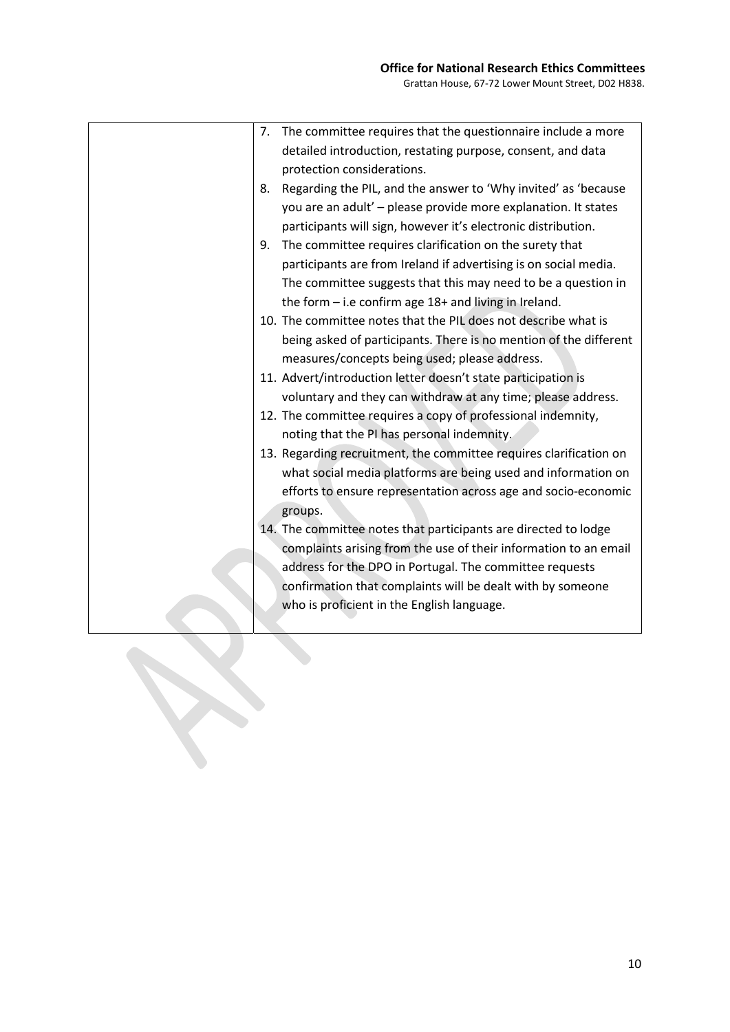| The committee requires that the questionnaire include a more<br>7.   |  |
|----------------------------------------------------------------------|--|
| detailed introduction, restating purpose, consent, and data          |  |
| protection considerations.                                           |  |
| Regarding the PIL, and the answer to 'Why invited' as 'because<br>8. |  |
| you are an adult' - please provide more explanation. It states       |  |
| participants will sign, however it's electronic distribution.        |  |
| The committee requires clarification on the surety that<br>9.        |  |
| participants are from Ireland if advertising is on social media.     |  |
| The committee suggests that this may need to be a question in        |  |
| the form $-$ i.e confirm age 18+ and living in Ireland.              |  |
| 10. The committee notes that the PIL does not describe what is       |  |
| being asked of participants. There is no mention of the different    |  |
| measures/concepts being used; please address.                        |  |
| 11. Advert/introduction letter doesn't state participation is        |  |
| voluntary and they can withdraw at any time; please address.         |  |
| 12. The committee requires a copy of professional indemnity,         |  |
| noting that the PI has personal indemnity.                           |  |
| 13. Regarding recruitment, the committee requires clarification on   |  |
| what social media platforms are being used and information on        |  |
| efforts to ensure representation across age and socio-economic       |  |
| groups.                                                              |  |
| 14. The committee notes that participants are directed to lodge      |  |
| complaints arising from the use of their information to an email     |  |
| address for the DPO in Portugal. The committee requests              |  |
| confirmation that complaints will be dealt with by someone           |  |
| who is proficient in the English language.                           |  |
|                                                                      |  |
|                                                                      |  |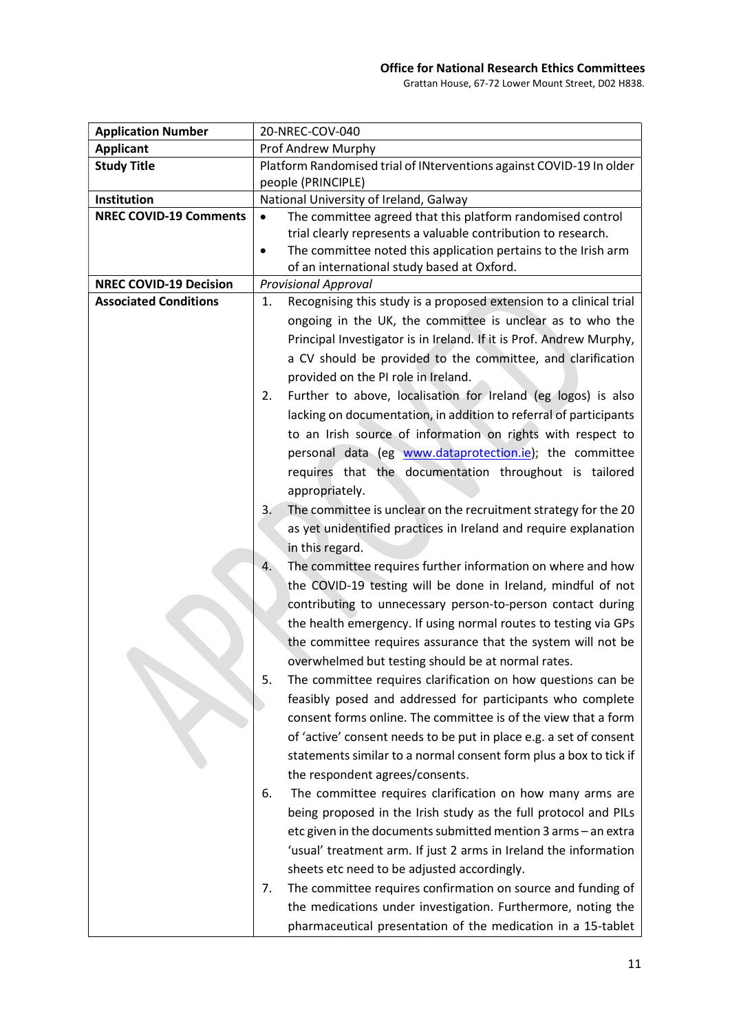Grattan House, 67-72 Lower Mount Street, D02 H838.

| <b>Application Number</b>     | 20-NREC-COV-040                                                             |
|-------------------------------|-----------------------------------------------------------------------------|
| <b>Applicant</b>              | Prof Andrew Murphy                                                          |
| <b>Study Title</b>            | Platform Randomised trial of INterventions against COVID-19 In older        |
|                               | people (PRINCIPLE)                                                          |
| Institution                   | National University of Ireland, Galway                                      |
| <b>NREC COVID-19 Comments</b> | The committee agreed that this platform randomised control<br>$\bullet$     |
|                               | trial clearly represents a valuable contribution to research.               |
|                               | The committee noted this application pertains to the Irish arm<br>$\bullet$ |
|                               | of an international study based at Oxford.                                  |
| <b>NREC COVID-19 Decision</b> | <b>Provisional Approval</b>                                                 |
| <b>Associated Conditions</b>  | Recognising this study is a proposed extension to a clinical trial<br>1.    |
|                               | ongoing in the UK, the committee is unclear as to who the                   |
|                               | Principal Investigator is in Ireland. If it is Prof. Andrew Murphy,         |
|                               | a CV should be provided to the committee, and clarification                 |
|                               | provided on the PI role in Ireland.                                         |
|                               | Further to above, localisation for Ireland (eg logos) is also<br>2.         |
|                               | lacking on documentation, in addition to referral of participants           |
|                               | to an Irish source of information on rights with respect to                 |
|                               | personal data (eg www.dataprotection.ie); the committee                     |
|                               | requires that the documentation throughout is tailored                      |
|                               | appropriately.                                                              |
|                               | The committee is unclear on the recruitment strategy for the 20<br>3.       |
|                               | as yet unidentified practices in Ireland and require explanation            |
|                               | in this regard.                                                             |
|                               | The committee requires further information on where and how<br>4.           |
|                               | the COVID-19 testing will be done in Ireland, mindful of not                |
|                               | contributing to unnecessary person-to-person contact during                 |
|                               | the health emergency. If using normal routes to testing via GPs             |
|                               | the committee requires assurance that the system will not be                |
|                               | overwhelmed but testing should be at normal rates.                          |
|                               |                                                                             |
|                               | 5.<br>The committee requires clarification on how questions can be          |
|                               | feasibly posed and addressed for participants who complete                  |
|                               | consent forms online. The committee is of the view that a form              |
|                               | of 'active' consent needs to be put in place e.g. a set of consent          |
|                               | statements similar to a normal consent form plus a box to tick if           |
|                               | the respondent agrees/consents.                                             |
|                               | The committee requires clarification on how many arms are<br>6.             |
|                               | being proposed in the Irish study as the full protocol and PILs             |
|                               | etc given in the documents submitted mention 3 arms - an extra              |
|                               | 'usual' treatment arm. If just 2 arms in Ireland the information            |
|                               | sheets etc need to be adjusted accordingly.                                 |
|                               | The committee requires confirmation on source and funding of<br>7.          |
|                               | the medications under investigation. Furthermore, noting the                |
|                               | pharmaceutical presentation of the medication in a 15-tablet                |